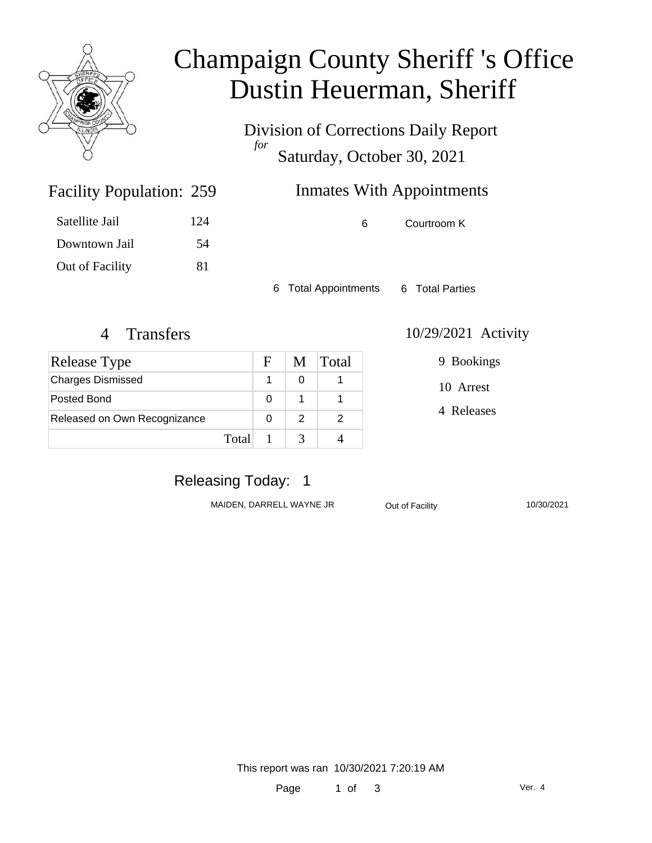

# Champaign County Sheriff 's Office Dustin Heuerman, Sheriff

Division of Corrections Daily Report *for* Saturday, October 30, 2021

# Inmates With Appointments

| Satellite Jail  | 124 |
|-----------------|-----|
| Downtown Jail   | 54  |
| Out of Facility | 81  |

Facility Population: 259

6 Courtroom K

6 Total Appointments 6 Total Parties

| Release Type                 |       | F | M | <b>Total</b> |
|------------------------------|-------|---|---|--------------|
| <b>Charges Dismissed</b>     |       |   |   |              |
| Posted Bond                  |       | ∩ |   |              |
| Released on Own Recognizance |       |   | 2 |              |
|                              | Total |   |   |              |

#### 4 Transfers 10/29/2021 Activity

9 Bookings

10 Arrest

4 Releases

### Releasing Today: 1

MAIDEN, DARRELL WAYNE JR<br>
Out of Facility

Out of Lating Contract May 2021

This report was ran 10/30/2021 7:20:19 AM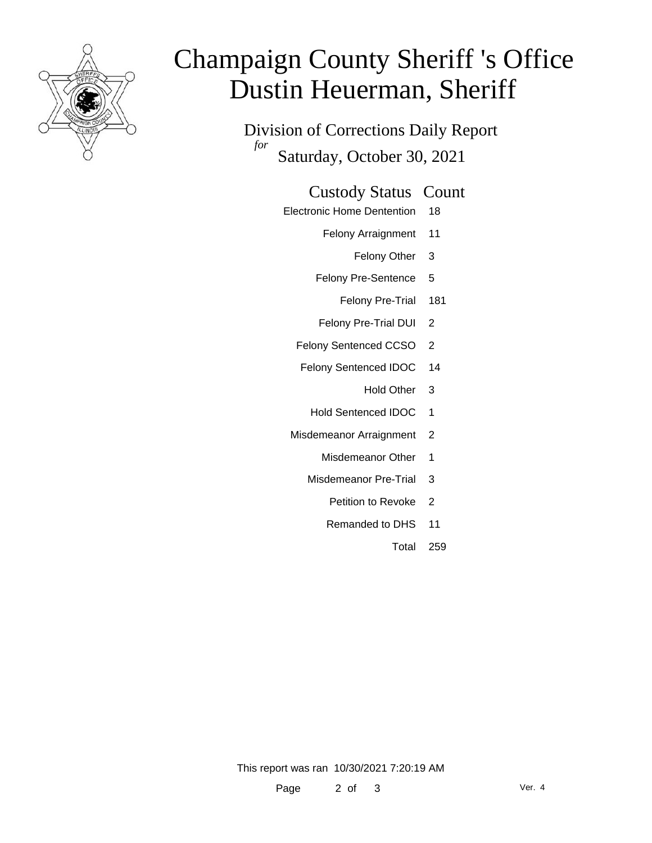

# Champaign County Sheriff 's Office Dustin Heuerman, Sheriff

Division of Corrections Daily Report *for* Saturday, October 30, 2021

#### Custody Status Count

- Electronic Home Dentention 18
	- Felony Arraignment 11
		- Felony Other 3
	- Felony Pre-Sentence 5
		- Felony Pre-Trial 181
	- Felony Pre-Trial DUI 2
	- Felony Sentenced CCSO 2
	- Felony Sentenced IDOC 14
		- Hold Other 3
		- Hold Sentenced IDOC 1
	- Misdemeanor Arraignment 2
		- Misdemeanor Other 1
		- Misdemeanor Pre-Trial 3
			- Petition to Revoke 2
			- Remanded to DHS 11
				- Total 259

This report was ran 10/30/2021 7:20:19 AM